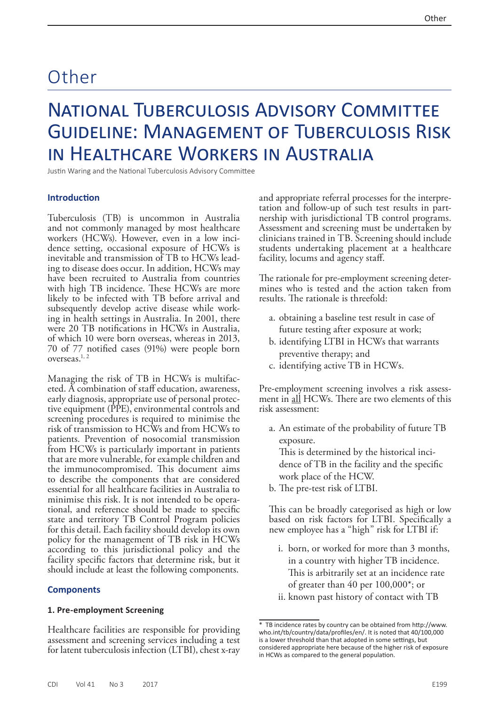# Other

# National Tuberculosis Advisory Committee Guideline: Management of Tuberculosis Risk in Healthcare Workers in Australia

Justin Waring and the National Tuberculosis Advisory Committee

#### **Introduction**

Tuberculosis (TB) is uncommon in Australia and not commonly managed by most healthcare workers (HCWs). However, even in a low incidence setting, occasional exposure of HCWs is inevitable and transmission of TB to HCWs leading to disease does occur. In addition, HCWs may have been recruited to Australia from countries with high TB incidence. These HCWs are more likely to be infected with TB before arrival and subsequently develop active disease while working in health settings in Australia. In 2001, there were 20 TB notifications in HCWs in Australia, of which 10 were born overseas, whereas in 2013, 70 of 77 notified cases (91%) were people born overseas.<sup>1, 2</sup>

Managing the risk of TB in HCWs is multifaceted. A combination of staff education, awareness, early diagnosis, appropriate use of personal protective equipment (PPE), environmental controls and screening procedures is required to minimise the risk of transmission to HCWs and from HCWs to patients. Prevention of nosocomial transmission from HCWs is particularly important in patients that are more vulnerable, for example children and the immunocompromised. This document aims to describe the components that are considered essential for all healthcare facilities in Australia to minimise this risk. It is not intended to be operational, and reference should be made to specific state and territory TB Control Program policies for this detail. Each facility should develop its own policy for the management of TB risk in HCWs according to this jurisdictional policy and the facility specific factors that determine risk, but it should include at least the following components.

#### **Components**

#### **1. Pre-employment Screening**

Healthcare facilities are responsible for providing assessment and screening services including a test for latent tuberculosis infection (LTBI), chest x-ray

and appropriate referral processes for the interpretation and follow-up of such test results in partnership with jurisdictional TB control programs. Assessment and screening must be undertaken by clinicians trained in TB. Screening should include students undertaking placement at a healthcare facility, locums and agency staff.

The rationale for pre-employment screening determines who is tested and the action taken from results. The rationale is threefold:

- a. obtaining a baseline test result in case of future testing after exposure at work;
- b. identifying LTBI in HCWs that warrants preventive therapy; and
- c. identifying active TB in HCWs.

Pre-employment screening involves a risk assess- ment in all HCWs. There are two elements of this risk assessment:

a. An estimate of the probability of future TB exposure. This is determined by the historical inci-

dence of TB in the facility and the specific work place of the HCW.

b. The pre-test risk of LTBI.

This can be broadly categorised as high or low based on risk factors for LTBI. Specifically a new employee has a "high" risk for LTBI if:

- i. born, or worked for more than 3 months, in a country with higher TB incidence. This is arbitrarily set at an incidence rate of greater than 40 per 100,000\*; or
- ii. known past history of contact with TB

<sup>\*</sup> TB incidence rates by country can be obtained from [http://www.](http://www.who.int/tb/country/data/profiles/en/) [who.int/tb/country/data/profiles/en/](http://www.who.int/tb/country/data/profiles/en/). It is noted that 40/100,000 is a lower threshold than that adopted in some settings, but considered appropriate here because of the higher risk of exposure in HCWs as compared to the general population.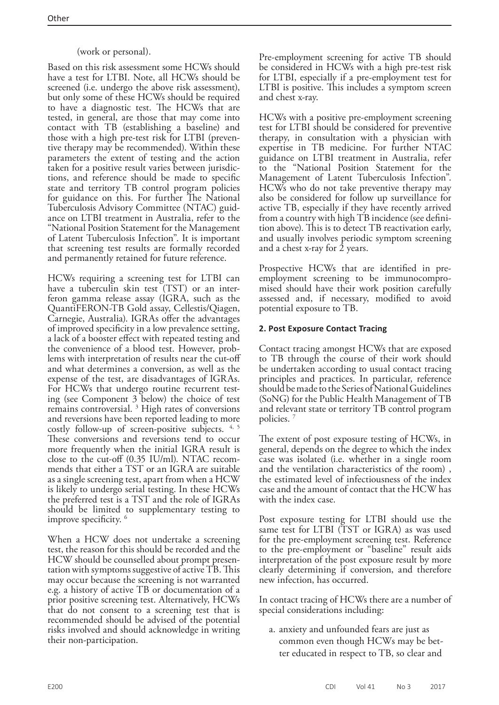# (work or personal).

Based on this risk assessment some HCWs should have a test for LTBI. Note, all HCWs should be screened (i.e. undergo the above risk assessment), but only some of these HCWs should be required to have a diagnostic test. The HCWs that are tested, in general, are those that may come into contact with TB (establishing a baseline) and those with a high pre-test risk for LTBI (preventive therapy may be recommended). Within these parameters the extent of testing and the action taken for a positive result varies between jurisdictions, and reference should be made to specific state and territory TB control program policies for guidance on this. For further The National Tuberculosis Advisory Committee (NTAC) guidance on LTBI treatment in Australia, refer to the "National Position Statement for the Management of Latent Tuberculosis Infection". It is important that screening test results are formally recorded and permanently retained for future reference.

HCWs requiring a screening test for LTBI can have a tuberculin skin test (TST) or an interferon gamma release assay (IGRA, such as the QuantiFERON-TB Gold assay, Cellestis/Qiagen, Carnegie, Australia). IGRAs offer the advantages of improved specificity in a low prevalence setting, a lack of a booster effect with repeated testing and the convenience of a blood test. However, problems with interpretation of results near the cut-off and what determines a conversion, as well as the expense of the test, are disadvantages of IGRAs.<br>For HCWs that undergo routine recurrent testing (see Component 3 below) the choice of test remains controversial. 3 High rates of conversions and reversions have been reported leading to more costly follow-up of screen-positive subjects.  $4, 5$ These conversions and reversions tend to occur more frequently when the initial IGRA result is close to the cut-off (0.35 IU/ml). NTAC recom- mends that either a TST or an IGRA are suitable as a single screening test, apart from when a HCW is likely to undergo serial testing. In these HCWs the preferred test is a TST and the role of IGRAs should be limited to supplementary testing to improve specificity. <sup>6</sup>

When a HCW does not undertake a screening test, the reason for this should be recorded and the HCW should be counselled about prompt presen- tation with symptoms suggestive of active TB. This may occur because the screening is not warranted e.g. a history of active TB or documentation of a prior positive screening test. Alternatively, HCWs that do not consent to a screening test that is recommended should be advised of the potential risks involved and should acknowledge in writing their non-participation.

Pre-employment screening for active TB should be considered in HCWs with a high pre-test risk for LTBI, especially if a pre-employment test for LTBI is positive. This includes a symptom screen and chest x-ray.

HCWs with a positive pre-employment screening test for LTBI should be considered for preventive therapy, in consultation with a physician with expertise in TB medicine. For further NTAC guidance on LTBI treatment in Australia, refer to the "National Position Statement for the Management of Latent Tuberculosis Infection". HCWs who do not take preventive therapy may also be considered for follow up surveillance for active TB, especially if they have recently arrived from a country with high TB incidence (see definition above). This is to detect TB reactivation early, and usually involves periodic symptom screening and a chest x-ray for 2 years.

Prospective HCWs that are identified in preemployment screening to be immunocompromised should have their work position carefully assessed and, if necessary, modified to avoid potential exposure to TB.

# **2. Post Exposure Contact Tracing**

Contact tracing amongst HCWs that are exposed to TB through the course of their work should be undertaken according to usual contact tracing principles and practices. In particular, reference should be made to the Series of National Guidelines (SoNG) for the Public Health Management of TB and relevant state or territory TB control program policies. 7

The extent of post exposure testing of HCWs, in general, depends on the degree to which the index case was isolated (i.e. whether in a single room and the ventilation characteristics of the room) , the estimated level of infectiousness of the index case and the amount of contact that the HCW has with the index case.

Post exposure testing for LTBI should use the same test for LTBI (TST or IGRA) as was used for the pre-employment screening test. Reference to the pre-employment or "baseline" result aids interpretation of the post exposure result by more clearly determining if conversion, and therefore new infection, has occurred.

In contact tracing of HCWs there are a number of special considerations including:

a. anxiety and unfounded fears are just as common even though HCWs may be better educated in respect to TB, so clear and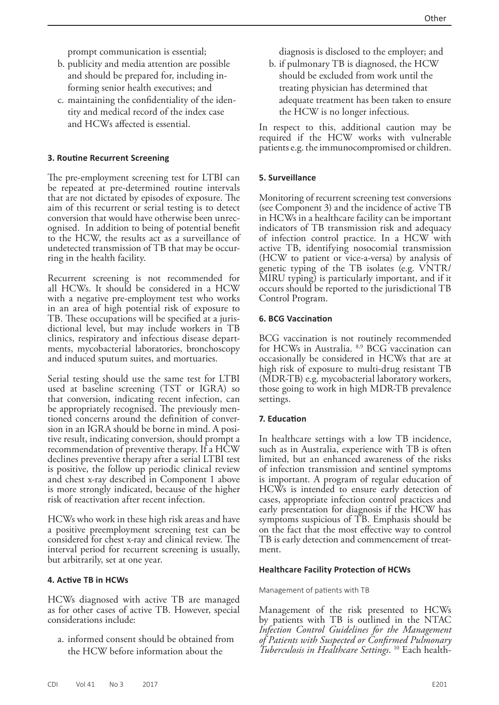prompt communication is essential;

- b. publicity and media attention are possible and should be prepared for, including informing senior health executives; and
- c. maintaining the confidentiality of the identity and medical record of the index case and HCWs affected is essential.

## **3. Routine Recurrent Screening**

The pre-employment screening test for LTBI can be repeated at pre-determined routine intervals that are not dictated by episodes of exposure. The aim of this recurrent or serial testing is to detect conversion that would have otherwise been unrecognised. In addition to being of potential benefit to the HCW, the results act as a surveillance of undetected transmission of TB that may be occurring in the health facility.

Recurrent screening is not recommended for all HCWs. It should be considered in a HCW with a negative pre-employment test who works in an area of high potential risk of exposure to TB. These occupations will be specified at a jurisdictional level, but may include workers in TB clinics, respiratory and infectious disease departments, mycobacterial laboratories, bronchoscopy and induced sputum suites, and mortuaries.

Serial testing should use the same test for LTBI used at baseline screening (TST or IGRA) so that conversion, indicating recent infection, can be appropriately recognised. The previously mentioned concerns around the definition of conversion in an IGRA should be borne in mind. A positive result, indicating conversion, should prompt a recommendation of preventive therapy. If a HCW declines preventive therapy after a serial LTBI test is positive, the follow up periodic clinical review and chest x-ray described in Component 1 above is more strongly indicated, because of the higher risk of reactivation after recent infection.

HCWs who work in these high risk areas and have a positive preemployment screening test can be considered for chest x-ray and clinical review. The interval period for recurrent screening is usually, but arbitrarily, set at one year.

## **4. Active TB in HCWs**

HCWs diagnosed with active TB are managed as for other cases of active TB. However, special considerations include:

a. informed consent should be obtained from the HCW before information about the

diagnosis is disclosed to the employer; and

b. if pulmonary TB is diagnosed, the HCW should be excluded from work until the treating physician has determined that adequate treatment has been taken to ensure the HCW is no longer infectious.

In respect to this, additional caution may be required if the HCW works with vulnerable patients e.g. the immunocompromised or children.

## **5. Surveillance**

Monitoring of recurrent screening test conversions (see Component 3) and the incidence of active TB in HCWs in a healthcare facility can be important indicators of TB transmission risk and adequacy of infection control practice. In a HCW with active TB, identifying nosocomial transmission (HCW to patient or vice-a-versa) by analysis of genetic typing of the TB isolates (e.g. VNTR/ MIRU typing) is particularly important, and if it occurs should be reported to the jurisdictional TB Control Program.

## **6. BCG Vaccination**

BCG vaccination is not routinely recommended for HCWs in Australia. 8,9 BCG vaccination can occasionally be considered in HCWs that are at high risk of exposure to multi-drug resistant TB (MDR-TB) e.g. mycobacterial laboratory workers, those going to work in high MDR-TB prevalence settings.

## **7. Education**

In healthcare settings with a low TB incidence, such as in Australia, experience with TB is often limited, but an enhanced awareness of the risks of infection transmission and sentinel symptoms is important. A program of regular education of HCWs is intended to ensure early detection of cases, appropriate infection control practices and early presentation for diagnosis if the HCW has symptoms suspicious of TB. Emphasis should be on the fact that the most effective way to control TB is early detection and commencement of treatment.

## **Healthcare Facility Protection of HCWs**

## Management of patients with TB

Management of the risk presented to HCWs by patients with TB is outlined in the NTAC *Infection Control Guidelines for the Management of Patients with Suspected or Confirmed Pulmonary Tuberculosis in Healthcare Settings*. 10 Each health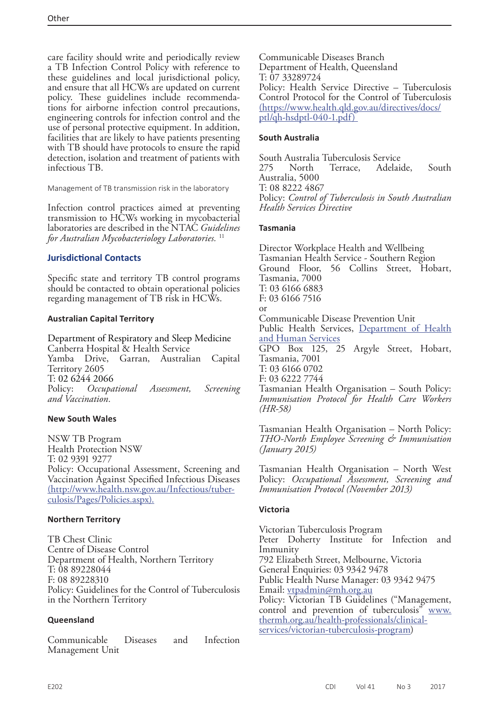care facility should write and periodically review a TB Infection Control Policy with reference to these guidelines and local jurisdictional policy, and ensure that all HCWs are updated on current policy. These guidelines include recommendations for airborne infection control precautions, engineering controls for infection control and the use of personal protective equipment. In addition, facilities that are likely to have patients presenting with TB should have protocols to ensure the rapid detection, isolation and treatment of patients with infectious TB.

Management of TB transmission risk in the laboratory

Infection control practices aimed at preventing transmission to HCWs working in mycobacterial laboratories are described in the NTAC *Guidelines for Australian Mycobacteriology Laboratories.* <sup>11</sup>

# **Jurisdictional Contacts**

Specific state and territory TB control programs should be contacted to obtain operational policies regarding management of TB risk in HCWs.

## **Australian Capital Territory**

Department of Respiratory and Sleep Medicine Canberra Hospital & Health Service Yamba Drive, Garran, Australian Capital Territory 2605 T: 02 6244 2066<br>Policy: *Occupa* Policy: *Occupational Assessment, Screening and Vaccination.*

# **New South Wales**

NSW TB Program Health Protection NSW T: 02 9391 9277 Policy: Occupational Assessment, Screening and Vaccination Against Specified Infectious Diseases ([http://www.health.nsw.gov.au/Infectious/tuber](http://www.health.nsw.gov.au/Infectious/tuberculosis/Pages/Policies.aspx)[culosis/Pages/Policies.aspx\)](http://www.health.nsw.gov.au/Infectious/tuberculosis/Pages/Policies.aspx).

# **Northern Territory**

TB Chest Clinic Centre of Disease Control Department of Health, Northern Territory T: 08 89228044 F: 08 89228310 Policy: Guidelines for the Control of Tuberculosis in the Northern Territory

## **Queensland**

Communicable Diseases and Infection Management Unit

Communicable Diseases Branch Department of Health, Queensland T: 07 33289724 Policy: Health Service Directive – Tuberculosis Control Protocol for the Control of Tuberculosis [\(https://www.health.qld.gov.au/directives/docs/]((https://www.health.qld.gov.au/directives/docs/ptl/qh-hsdptl-040-1.pdf) ) [ptl/qh-hsdptl-040-1.pdf\)]((https://www.health.qld.gov.au/directives/docs/ptl/qh-hsdptl-040-1.pdf) ) 

## **South Australia**

South Australia Tuberculosis Service 275 North Terrace, Adelaide, South Australia, 5000 T: 08 8222 4867 Policy: *Control of Tuberculosis in South Australian Health Services Directive*

## **Tasmania**

Director Workplace Health and Wellbeing Tasmanian Health Service - Southern Region Ground Floor, 56 Collins Street, Hobart, Tasmania, 7000 T: 03 6166 6883 F: 03 6166 7516 or Communicable Disease Prevention Unit Public Health Services, [Department of Health](http://www.dhhs.tas.gov.au/)  [and Human Services](http://www.dhhs.tas.gov.au/) GPO Box 125, 25 Argyle Street, Hobart, Tasmania, 7001 T: 03 6166 0702 F: 03 6222 7744 Tasmanian Health Organisation – South Policy: *Immunisation Protocol for Health Care Workers (HR-58)*

Tasmanian Health Organisation – North Policy: *THO-North Employee Screening & Immunisation (January 2015)*

Tasmanian Health Organisation – North West Policy: *Occupational Assessment, Screening and Immunisation Protocol (November 2013)*

# **Victoria**

Victorian Tuberculosis Program Peter Doherty Institute for Infection and Immunity 792 Elizabeth Street, Melbourne, Victoria General Enquiries: 03 9342 9478 Public Health Nurse Manager: 03 9342 9475 Email: [vtpadmin@mh.org.au](mailto:vtpadmin%40mh.org.au?subject=) Policy: Victorian TB Guidelines ("Management, control and prevention of tuberculosis" [www.](http://health.gov.au/www.thermh.org.au/health-professionals/clinical-services/victorian-tuberculosis-program) [thermh.org.au/health-professionals/clinical](http://health.gov.au/www.thermh.org.au/health-professionals/clinical-services/victorian-tuberculosis-program)[services/victorian-tuberculosis-program\)](http://health.gov.au/www.thermh.org.au/health-professionals/clinical-services/victorian-tuberculosis-program)